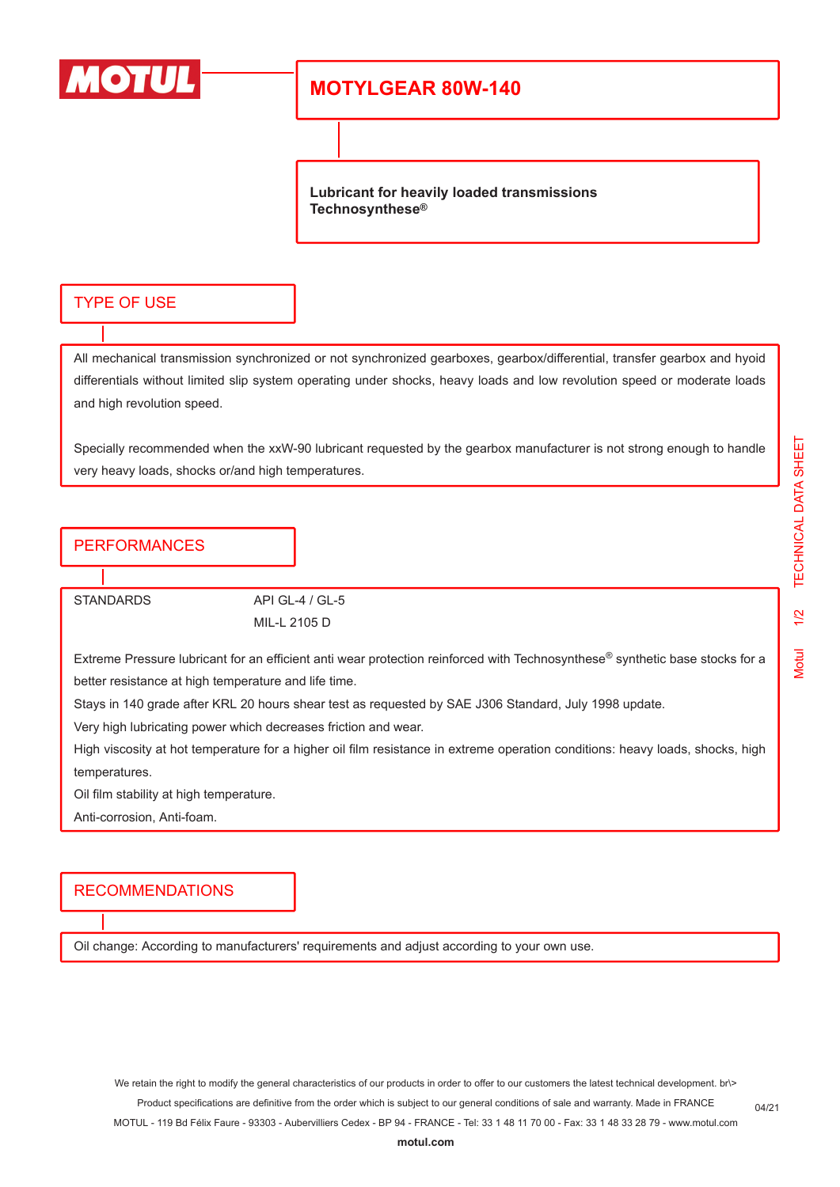

## **MOTYLGEAR 80W-140**

**Lubricant for heavily loaded transmissions Technosynthese®**

#### TYPE OF USE

All mechanical transmission synchronized or not synchronized gearboxes, gearbox/differential, transfer gearbox and hyoid differentials without limited slip system operating under shocks, heavy loads and low revolution speed or moderate loads and high revolution speed.

Specially recommended when the xxW-90 lubricant requested by the gearbox manufacturer is not strong enough to handle very heavy loads, shocks or/and high temperatures.

#### PERFORMANCES

STANDARDS API GL-4 / GL-5

MIL-L 2105 D

Extreme Pressure lubricant for an efficient anti wear protection reinforced with Technosynthese® synthetic base stocks for a better resistance at high temperature and life time.

Stays in 140 grade after KRL 20 hours shear test as requested by SAE J306 Standard, July 1998 update.

Very high lubricating power which decreases friction and wear.

High viscosity at hot temperature for a higher oil film resistance in extreme operation conditions: heavy loads, shocks, high temperatures.

Oil film stability at high temperature.

Anti-corrosion, Anti-foam.

### RECOMMENDATIONS

Oil change: According to manufacturers' requirements and adjust according to your own use.

We retain the right to modify the general characteristics of our products in order to offer to our customers the latest technical development. br\> Product specifications are definitive from the order which is subject to our general conditions of sale and warranty. Made in FRANCE

MOTUL - 119 Bd Félix Faure - 93303 - Aubervilliers Cedex - BP 94 - FRANCE - Tel: 33 1 48 11 70 00 - Fax: 33 1 48 33 28 79 - www.motul.com

**[motul.com](http://www.motul.com)**